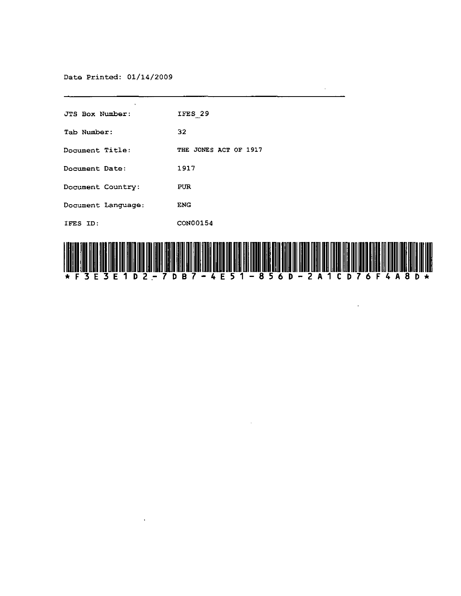Date Printed: 01/14/2009

 $\ddot{\phantom{a}}$ 

**Contract Contract** JTS Box Number: IFES\_29 Tab Number: 32 **Document Title:** THE JONES ACT OF 1917 **Document Date:** 1917 **Document Country:** PUR **Document Language:** ENG lFES ID: CON00154

 $\sim 10$ 

 $\sim$ 



 $\mathcal{L}$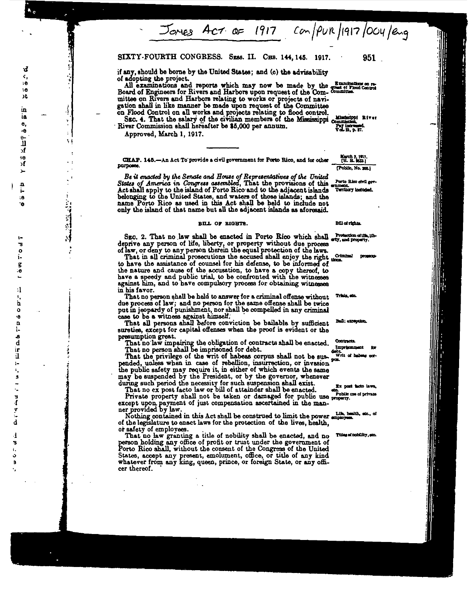Jones Act of

if any, should be borne by the United States; and (c) the advisability of adopting the project.

All examinations and reports which may now be made by the come of report of Plant of Plant of Plant of Plant of Plant of Plant of Plant of Plant of Plant of Plant of Plant of Plant of Board of Engineers for Rivers and Harb **Report institute** t of Flood Control mittee on Rivers and Harbors relating to works or projects of navigation shall in like manner be made upon request of the Committee

 $1917$ 

on Flood Control on all works and projects relating to flood control. SEC. 4. That the salary of the civilian members of the Mississippi  $\alpha$ River Commission shall hereafter be \$5,000 per annum.

Approved, March 1, 1917.

d

₹.

١ê

۱e эt,

in

ia.

е.

٠e

 $\frac{6}{11}$ 

Σf ٩ē

วf

D

į,

 $\ddot{\mathbf{e}}$ 

'Q

Ė

 $\bullet$ 

i-

g

ίė

 $\cdot$ 

Ь

 $\circ$ 

٠е

 $\mathbf n$ 

ł. J.

d

ï, ü

 $\mathfrak{t}$ -

÷,

з

Ś

 $\cdot$ y

d

Ŀ

З

÷.

p Э  $\ddot{\phantom{1}}$ 

Μ

CHAP. 145.-An Act To provide a civil government for Porto Rico, and for other purposes

Be it enacted by the Senate and House of Representatives of the United Porto Rico civil gov-States of America in Congress assembled, That the provisions of this Act shall apply to the island of Porto Rico and to the adjacent islands Turlicry loctoned. belonging to the United States, and waters of those islands; and the name Porto Rico as used in this Act shall be held to include not only the island of that name but all the adjacent islands as aforesaid.

#### BILL OF BIGHTS.

SEC. 2. That no law shall be enacted in Porto Rico which shall river ad property. deprive any person of life, liberty, or property without due process of law, or deny to any person therein the equal protection of the laws.

That in all criminal prosecutions the accused shall enjoy the right to have the assistance of counsel for his defense, to be informed of the nature and cause of the accusation, to have a copy thereof, to have a speedy and public trial, to be confronted with the witnesses against him, and to have compulsory process for obtaining witnesses in his favor.

That no person shall be held to answer for a criminal offense without due process of law; and no person for the same offense shall be twice put in jeopardy of punishment, nor shall be compelled in any criminal case to be a witness against himself.

That all persons shall before conviction be bailable by sufficient sureties, except for capital offenses when the proof is evident or the presumption great.

That no law impairing the obligation of contracts shall be enacted.

That no person shall be imprisoned for debt.

That the privilege of the writ of habeas corpus shall not be susthe public safety may require it, in either of which events the same may be suspended by the President, or by the governor, whenever during such period the necessity for such suspension shall exist.

That no ex post facto law or bill of attainder shall be enacted. Private property shall not be taken or damaged for public use prop except upon payment of just compensation ascertained in the manner provided by law.

Nothing contained in this Act shall be construed to limit the power anglores. of the legislature to enact laws for the protection of the lives, health, or safety of employees.

That no law granting a title of nobility shall be enacted, and no person holding any office of profit or trust under the government of Porto Rico shall, without the consent of the Congress of the United States, accept any present, emolument, office, or title of any kind whatever from any king, queen, prince, or foreign State, or any officer thereof.

#### **Bill of rights**

Protection of the tile

**Criminal** 

Ball; exception.

Contracts Imprisonment

Writ of habe

Ex post facto laws. Public use of private

Titles of nobility, etc.

 $con/$  PUR/1917/004/eng

Mississippi River **Pay increased**<br>Vol. 21, p. 17.

Karch 7, 1917<br>THE BL ASSA

Public, No. 358.1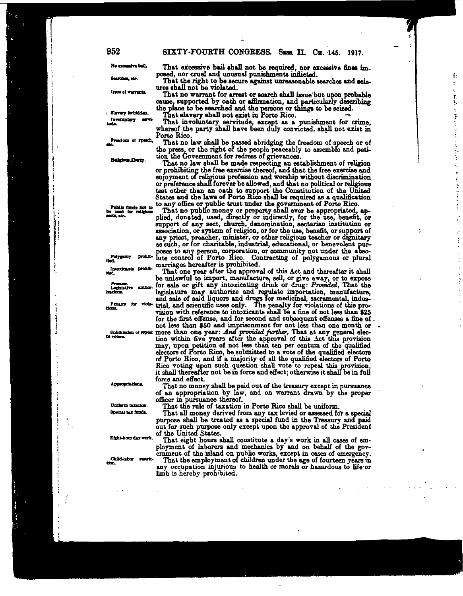## SIXTY-FOURTH CONGRESS. SEes. II. CH. 145. 1917.

No azmazive haft

That excessive bail shall not be required, nor excessive fines imposed, nor cruel and unusual punishments inflicted.

That the right to be secure against unreasonable searches and seizures shall not be violated.

f.

ŧ

 $\mathbf{r}$ 

ï

 $\frac{1}{2}$ 

 $\ddot{z}$ 

 $\ddot{\cdot}$ 

ć

ś

That no warrant for arrest or search shall issue but upon probable cause, supported by oath or affirmation, and particularly describing the place to be searched and the persons or things to be seized.<br>That slavery shall not exist in Porto Rico.

That involuntary servitude, except as a punishment for crime,

That no law shall be passed abridging the freedom of speech or of the press, or the right of the people peaceably to assemble and peti-

That no law shall be made respecting an establishment of religion

or prohibiting the free exercise thereof, and that the free exercise and

enforment of religious profession and worship without discrimination or preference shall forever be allowed, and that no political or religious test other than an oath to support the Constitution of the United States and the laws of Porto Rico shall be required as a qualification

to any office or public trust under the government of Porto Rico.<br>That no public money or property shall ever be appropriated, applied, donated, used, directly or indirectly, for the use, benefit, or

support of any sect, church, denomination, sectarian institution or association, or system of religion, or for the use, benefit, or support of any priest, preacher, minister, or other religious teacher or dignitary as such, or for charitable, industrial, educational, or benevolent pur-

That one year after the approval of this Act and thereafter it shall be unlawful to import, manufacture, sell, or give away, or to expose for sale or gift any intoxicating drink or drug: Provided, That the

legislature may authorize and regulate importation, manufacture, and sale of said liquors and drugs for medicinal, sacramental, indus-<br>trial, and scientific uses only. The penalty for violations of this pro-<br>vision with reference to intoricants shall be a fine of not less than \$25

for the first offense, and for second and subsequent offenses a fine of. not less than \$50 and imprisonment for not less than one month or more than one year: And provided further, That at any general elec-

tion within five years after the approval of this Act this provision may, upon petition of not less than ten per centum of the qualified electors of Porto Rico, be submitted to a vote of the qualified electors of Porto Rico, and if a majority of all the qualified electors of Porto Rico voting upon such question shall vote to repeal this provision, it shall thereafter not be in force and effect; otherwise it shall be in full

tion the Government for redress of grievances.

marriages hereafter is prohibited.

force and effect.

officer in pursuance thereof.

Involuntary **NEWS** whereof the party shall have been duly convicted, shall not exist in

Porto Rico.

Freedom of speech.

Religious liberty.

Public funds not to<br>comd for relixious party at ...

poses to any person, corporation, or community not under the abso-Interfaces probibng ista Penaity for **Tiols-Bubmission of repeal** to v

Appropriations.

Uniform taxation. **Bpecial tax funds.** 

Eight-hour day work.

Child-labor restric

ti-

That the rule of taxation in Porto Rico shall be uniform. That all money derived from any tax levied or assessed for a special purpose shall be treated as a special fund in the Treasury and paid out for such purpose only except upon the approval of the President of the United States.

That no money shall be paid out of the treasury except in pursuance of an appropriation by law, and on warrant drawn by the proper

That eight hours shall constitute a day's work in all cases of employment of laborers and mechanics by and on behalf of the government of the island on public works, except in cases of emergency.

That the employment of children under the age of fourteen years in any occupation injurious to health or morals or hazardous to life or limb is hereby prohibited.

vehm, ole.

lests of warrants.

Slavery turbidden.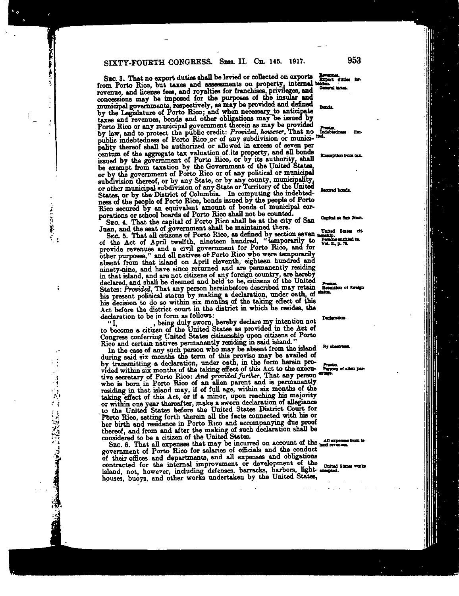## SIXTY-FOURTH CONGRESS. SESS. II. CH. 145. 1917.

SEC. 3. That no export duties shall be levied or collected on exports from Porto Rico, but taxes and assessments on property, internal revenue, and license fees, and royalties for franchises, privileges, and concessions may be imposed for the purposes of the insular and municipal governments, respectively, as may be provided and defined<br>by the Legislature of Porto Rico; and when necessary to anticipate<br>taxes and revenues, bonds and other obligations may be issued by Porto Rico or any municipal government therein as may be provided by law, and to protect the public credit: Provided, however, That no public indebtedness of Porto Rico or of any subdivision or municipality thereof shall be authorized or allowed in axcess of seven per centum of the aggregate tax valuation of its property, and all bonds issued by the government of Porto Rico, or by its authority, shall<br>be exempt from taxation by the Government of the United States,<br>or by the government of Porto Rico or of any political or municipal subdivision thereof, or by any State, or by any county, municipality, or other municipal subdivision of any State or Territory of the United States, or by the District of Columbia. In computing the indebtedness of the peop Rico secured by an equivalent amount of bonds of municipal corporations or school boards of Porto Rico shall not be counted.

SEC. 4. That the capital of Porto Rico shall be at the city of San Juan, and the seat of government shall be maintained there.

**SALES PR** 

Ý

ř.,

 $\begin{array}{c} \frac{1}{2} \\ \frac{1}{2} \end{array}$ 

**不明白,在我的话中的话,我觉得看看看的。** 

SEC. 5. That all citizens of Porto Rico, as defined by section seven as of the Act of April twelfth, nineteen hundred, "temporarily to provide revenues and a civil government for Porto Rico, and for other purposes," and all natives of Porto Rico who were temporarily absent from that island on April eleventh, eighteen hundred and ninety-nine, and have since returned and are permanently residing in that island, and are not citizens of any foreign country, are hereby declared, and shall be deemed and held to be, citizens of the United States: Provided, That any person hereinbefore described may retain his present political status by making a declaration, under oath, of his decision to do so within six months of the taking effect of this Act before the district court in the district in which he resides, the declaration to be in form as follows:

"I, being duly sworn, hereby declare my intention not to become a citizen of the United States as provided in the Act of Congress conferring United States citizenship upon citizens of Porto Rico and certain natives permanently residing in said island.

In the case of any such person who may be absent from the island during said six months the term of this proviso may be availed of by transmitting a declaration, under oath, in the form herein provided within six months of the taking effect of this Act to the executive secretary of Porto Rico: And provided further, That any person who is born in Porto Rico of an alien parent and is permanently residing in that island may, if of full age, within six months of the taking effect of this Act, or if a minor, upon reaching his majority or within one year thereafter, make a sworn declaration of allegiance to the United States before the United States District Court for Porto Rico, setting forth therein all the facts connected with his or her birth and residence in Porto Rico and accompanying due proof thereof, and from and after the making of such declaration shall be considered to be a citizen of the United States.

SEC. 6. That all expenses that may be incurred on account of the uniformer government of Porto Rico for salaries of officials and the conduct of their offices and departments, and all expenses and obligations contracted for the internal improvement or development of the island, not, however, including defenses, barracks, harbors, lighthouses, buoys, and other works undertaken by the United States,

.<br>Kumptien from tux

ntred hands

Capital at San Jm

United State Persons<br>Vol. 31, p. 79.

ian of fresh

By site

**United States works**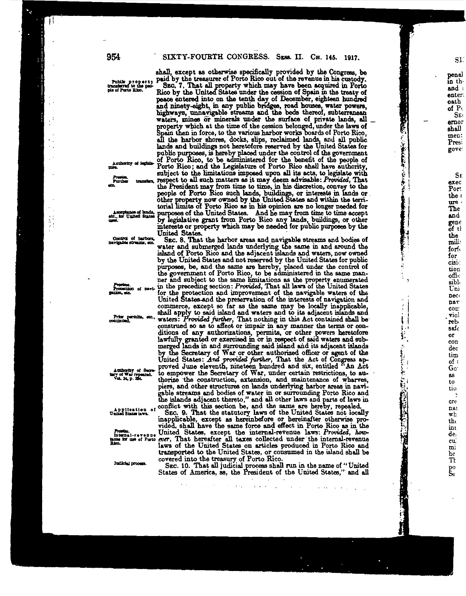## SIXTY-FOURTH CONGRESS. SESS. II. CH. 145. 1917.

S

pon

 $\mathbf{in}$  t

and

ente

**oat** 

of I

erne

<u>gha</u>  $me$ r

 $Pre$ 

gov

S

exe

Por

the ure

The

and gen

 $\mathbf{a}$ 

the

نلند

fori

for

cisi

tior offi

sibl

 $\mathbf{U}$ 

nec

nav

COL

 $\mathbf{v}$ <sub>10</sub>

reb.

saf,

dec

tim  $0!$  $Go$ 

8S

to tio

cre  $_{\rm{pa}}$ 

 $\overline{\mathbf{w}}$ n

the int

de: <u>cu</u> mi

he

Th

 $\mathbf{g}_{\mathrm{e}}^{\mathrm{o}}$ 

**OF** con

このに、また、そのことをある こうしゃ こうしゃ こうしゃ こうしゃ こうしゃ

ļ.

ļ

ţ.

きょうこくさい

S

Public property<br>ansiered to the peoble of Porto Rico.

Authority of iegisla-<br>ture.

transfers.

accepument et muds,<br>etc., in: United States

Control of harbors,<br>avigable streams, etc.

of may-

 $-mita$ etc. **Price** 

Authority of Se<br>ry of War repeate tary of War repe<br>Vol. 14, p. 214.

Application of<br>United States laws.

Judicial process.

shall, except as otherwise specifically provided by the Congress, be paid by the treasurer of Porto Rico out of the revenue in his custody. SEC. 7. That all property which may have been acquired in Porto Rico by the United States under the cession of Spain in the treaty of peace entered into on the tenth day of December, eighteen hundred and ninety-eight, in any public bridges, road houses, water powers, highways, unnavigable streams and the beds thereof, subterranean waters, mines or minerals under the surface of private lands, all property which at the time of the cession belonged, under the laws of Spain then in force, to the various harbor works boards of Porto Rico, all the harbor shores, docks, slips, reclaimed lands, and all public lands and buildings not haretofore reserved by the United States for public purposes, is hereby placed under the control of the government of Porto Rico, to be administered for the benefit of the people of Porto Rico; and the Legislature of Porto Rico shall have authority, subject to the limitations imposed upon all its acts, to legislate with respect to all such matters as it may deem advisable: Provided, That the President may from time to time, in his discretion, convey to the people of Porto Rico such lands, buildings, or interests in lands or other property now owned by the United States and within the territorial limits of Porto Rico as in his opinion are no longer needed for purposes of the United States. And he may from time to time accept by legislative grant from Porto Rico any lands, buildings, or other interests or property which may be needed for public purposes by the

United States. SEC. 8. That the harbor areas and navigable streams and bodies of water and submerged lands underlying the same in and around the island of Porto Rico and the adjacent islands and waters, now owned by the United States and not reserved by the United States for public purposes, be, and the same are hereby, placed under the control of the government of Porto Rico, to be administered in the same manner and subject to the same limitations as the property enumerated in the preceding section: Provided, That all laws of the United States for the protection and improvement of the navigable waters of the United States and the preservation of the interests of navigation and commerce, except so far as the same may be locally inapplicable, shall apply to said island and waters and to its adjacent islands and waters: Provided further, That nothing in this Act contained shall be construed so as to affect or impair in any manner the terms or conditions of any authorizations, permits, or other powers heretofore lawfully granted or exercised in or in respect of said waters and submerged lands in and surrounding said island and its adjacent islands by the Secretary of War or other authorized officer or agent of the United States: And provided further, That the Act of Congress approved June eleventh, nineteen hundred and six, entitled "An Act to empower the Secretary of War, under certain restrictions, to authorize the construction, extension, and maintenance of wharves, piers, and other structures on lands underlying harbor areas in navigable streams and bodies of water in or surrounding Porto Rico and the islands adjacent thereto," and all other laws and parts of laws in conflict with this section be, and the same are hereby, repealed.

SEC. 9. That the statutory laws of the United States not locally inapplicable, except as hereinbefore or hereinafter otherwise provided, shall have the same force and effect in Porto Rico as in the United States, except the internal-revenue laws: Provided, how-Provis.<br>Internal-revenue United States, except the internal-revenue internal-revenue is and for the original revenue is and have of Parto ever, That hereafter all taxes collected under the internal-revenue laws of the Unit transported to the United States, or consumed in the island shall be covered into the treasury of Porto Rico.

SEC. 10. That all judicial process shall run in the name of "United States of America, ss, the President of the United States," and all

 $\sim 10$ 

٠.,

Ħ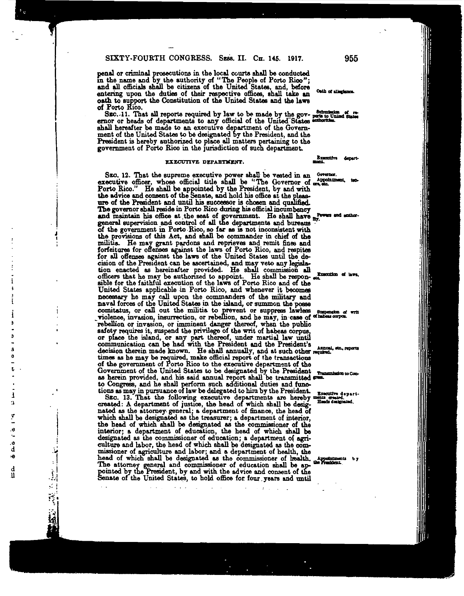penal or criminal prosecutions in the local courts shall be conducted in the name and by the authority of "The People of Porto Rico" and all officials shall be citizens of the United States, and, before entering upon the duties of their respective offices, shall take an oath to support the Constitution of the United States and the laws of Porto Rico.

SEC.-11. That all reports required by law to be made by the gov- submission of errors to United States enterprise of departments to any official of the United States enterprise. shall hereafter be made to an executive department of the Government of the United States to be designated by the President, and the President is hereby authorized to place all matters pertaining to the government of Porto Rico in the jurisdiction of such department.

### EXECUTIVE DEPARTMENT.

SEO. 12. That the supreme executive power shall be vested in an over<br>executive officer, whose official title shall be "The Governor of  $\alpha$ , see<br>Porto Rico." He shall be appointed by the President, by and with<br>the advice The governor shall reside in Porto Rico during his official incumbency and maintain his office at the seat of government. He shall have an general supervision and control of all the departments and bureaus of the government in Porto Rico, so far as is not inconsistent with the provisions of this Act, and shall be commander in chief of the militia. He may grant pardons and reprieves and remit fines and forfeitures for offenses against the laws of Porto Rico, and respites for all offenses against the laws of the United States until the decision of the President can be ascertained, and may veto any legislation enacted as hereinafter provided. He shall commission all officers that he may be authorized to appoint. He shall be responsible for the faithful execution of the laws of Porto Rico and of the United States applicable in Porto Rico, and whenever it becomes necessary he may call upon the commanders of the military and naval forces of the United States in the island, or summon the posse comitatus, or call out the militia to prevent or suppress lawless superior violence, invasion, insurrection, or rebellion, and he may, in case of "haben corpore" rebellion or invasion, or imminent danger thereof, when the public safety requires it, suspend the privilege of the writ of habeas corpus, or place the island, or any part thereof, under martial law until communication can be had with the President and the President's decision therein made known. He shall annually, and at such other required. times as he may be required, make official report of the transactions of the government of Porto Rico to the executive department of the Government of the United States to be designated by the President as herein provided, and his said annual report shall be transmitted will to Congress, and he shall perform such additional duties and functions as may in pursuance of law be delegated to him by the President.

a

a

 $\mathbf{I}$ 

÷,

V

U.

e.

d

ю

d

n

्

SEC. 13. That the following executive departments are hereby  $\equiv$  created: A department of justice, the head of which shall be designated as the attorney general; a department of finance, the head of which shall be designated as the treasurer; a department of interior, the head of which shall be designated as the commissioner of the interior; a department of education, the head of which shall be designated as the commissioner of education; a department of agriculture and labor, the head of which shall be designated as the commissioner of agriculture and labor; and a department of health, the head of which shall be designated as the commissioner of health. The attorney general and commissioner of education shall be appointed by the President, by and with the advice and consent of the Senate of the United States, to hold office for four years and until

Executive

Governor

Execution of laws.

Transmission to Con

Executive depart-<br>nents created.<br>Heads designated.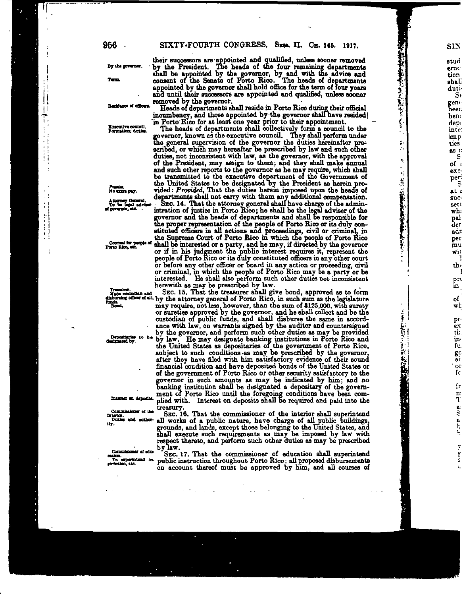**SIN** 

stud

erno

tion shal

duti

gene

beer

ben:

dep:

inte  $im p$ 

ties

as  $\frac{1}{5}$ 

of .

 $\mathbf{exc}$ 

 $per$ 

 $at:$ 

suc

set  $\mathbf{w}$ <sub>b</sub>

pal der

adı

per

mu ۳i

th١

pro

in.

of

₩Ì

pг

ex. ti:

in ſu

g

a r

or

fc

fr

 $\mathbf{n}$ 

T

a.

 $\tilde{z}$ 

a

b Ŀ

y

έ

š ÷.

Ē,

-Si

ł

医学

ţ

 $\ddot{\phi}$ 

Ż,

 $\mathbf{v}$ 

 $\mathbf{Q}$ 

Í

į

石油 あいか あいかん あいまん

 $\overline{a}$ 

By the governor.

 $\pm$ 

Ť,

 $\vdots$ 

 $\pm 1$ 

 $\ddot{\phantom{a}}$ 

 $\cdot$ 

 $\begin{array}{c}\n\bullet \\
\bullet \\
\bullet \\
\bullet\n\end{array}$ 

 $\mathbf{I}$ 

Residence of officers.

Executive council.<br>Formation: duties.

rvous.<br>No extra pay.

ttorney General,<br>o ba (agal adviset<br>overnor, sto.

Counsel for people of<br>Porto Rico, etc.

a <del>a bai</del> **Kada** co indian and

Depositaries<br>admated by. to be

## Interest on deposits.

ber of the Duties and anthortt.

ar of edo-Commie smerintend in-

their successors are appointed and qualified, unless sooner removed by the President. The heads of the four remaining departments shall be appointed by the governor, by and with the advice and consent of the Senate of Porto Rico. The heads of departments appointed by the governor shall hold office for the term of four years and until their successors are appointed and qualified, unless sooner removed by the governor.

Heads of departments shall reside in Porto Rico during their official incumbency, and those appointed by the governor shall have resided

in Porto Rico for at least one year prior to their appointment.<br>The heads of departments shall collectively form a council to the governor, known as the executive council. They shall perform under the general supervision o scribed, or which may hereafter be prescribed by law and such other duties, not inconsistent with law, as the governor, with the approval of the President, may assign to them; and they shall make annual and such other reports to the governor as he may require, which shall be transmitted to the executive department of the Government of the United States to be designated by the President as herein pro-<br>vided: Provided, That the duties herein imposed upon the heads of departments shall not carry with them any additional compensation.

SEC. 14. That the attorney general shall have charge of the administration of justice in Porto Rico; he shall be the legal adviser of the governor and the heads of departments and shall be responsible for the proper representation of the people of Porto Rico or its duly constituted officers in all actions and proceedings, civil or criminal, in the Supreme Court of Porto Rico in which the people of Porto Rico shall be interested or a party, and he may, if directed by the governor or if in his judgment the public interest requires it, represent the people of Porto Rico or its duly constituted officers in any other court or before any other officer or board in any action or proceeding, civil or criminal, in which the people of Porto Rico may be a party or be<br>interested. He shall also perform such other duties not inconsistent herewith as may be prescribed by law.

SEC. 15. That the treasurer shall give bond, approved as to form at all by the attorney general of Porto Rico, in such sum as the legislature may require, not less, however, than the sum of \$125,000, with surety or sureties approved by the governor, and he shall collect and be the custodian of public funds, and shall disburse the same in accordance with law, on warrants signed by the auditor and countersigned by the governor, and perform such other duties as may be provided by law. He may designate banking institutions in Porto Rico and the United States as depositaries of the government of Porto Rico, subject to such conditions as may be prescribed by the governor after they have filed with him satisfactory evidence of their sound financial condition and have deposited bonds of the United States or of the government of Porto Rico or other security satisfactory to the governor in such amounts as may be indicated by him; and no banking institution shall be designated a depositary of the government of Porto Rico until the foregoing conditions have been complied with. Interest on deposits shall be required and paid into the treasury

SEC. 16. That the commissioner of the interior shall superintend all works of a public nature, have charge of all public buildings, grounds, and lands, except those belonging to the United States, and shall execute such requirements as may be imposed by law with respect thereto, and perform such other duties as may be prescribed by law.

SEC. 17. That the commissioner of education shall superintend public instruction throughout Porto Rico; all proposed disbursements on account thereof must be approved by him, and all courses of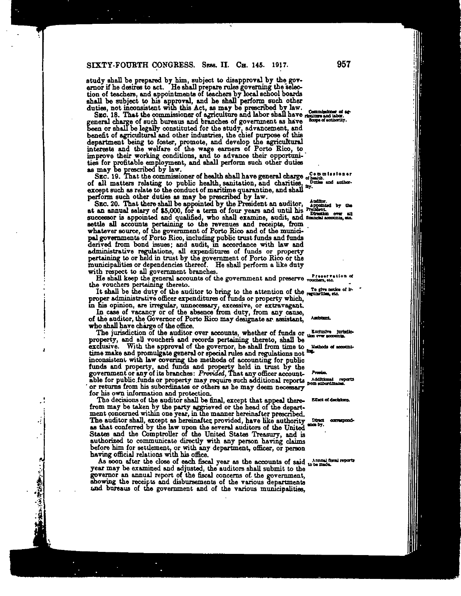### SIXTY-FOURTH CONGRESS. SESS. II. CH. 145. 1917.

study shall be prepared by him, subject to disapproval by the governor if he desires to act. He shall prepare rules governing the selection of teachers, and appointments of teachers by local school boards shall be subject to his approval, and he shall perform such other duties, not inconsistent with this Act, as may be prescribed by law.

SEC. 18. That the commissioner of agriculture and labor shall have  $\alpha$ general charge of such bureaus and branches of government as have been or shall be legally constituted for the study, advancement, and benefit of agricultural and other industries, the chief purpose of this department being to foster, promote, and develop the agricultural interests and the welfare of the wage earners of Porto Rico, to improve their working conditions, and to advance their opportunities for profitable employment, and shall perform such other duties as may be prescribed by law.

SEC. 19. That the commissioner of health shall have general charge commissioner<br>SEC. 19. That the commissioner of health sanitation and charities putter and sutton of all matters relating to public health, sanitation, and charities, if except such as relate to the conduct of maritime quarantine, and shall perform such other duties as may be prescribed by law.

SEC. 20. That there shall be appointed by the President an auditor,  $\frac{1}{4}$  at an annual salary of \$5,000, for a term of four years and until his  $P_{\overline{0}}$ successor is appointed and qualified, who shall examine, audit, and successor settle all accounts pertaining to the revenues and receipts, from whatever source, of the government of Porto Rico and of the municipal governments of Porto Rico, including public trust funds and funds derived from bond issues; and audit, in accordance with law and administrative regulations, all expenditures of funds or property pertaining to or held in trust by the government of Porto Rico or the municipalities or dependencies thereof. He shall perform a like duty with respect to all government branches.

He shall keep the general accounts of the government and preserve vocation at Preservation of the vouchers pertaining thereto.

It shall be the duty of the auditor to bring to the attention of the requestion et in proper administrative officer expenditures of funds or property which. in his opinion, are irregular, unnecessary, excessive, or extravagant.

In case of vacancy or of the absence from duty, from any cause, of the auditor, the Governor of Porto Rico may designate an assistant, who shall have charge of the office.

The jurisdiction of the auditor over accounts, whether of funds or der over some interior property, and all vouchers and records pertaining thereto, shall be exclusive. With the approval of the governor, he shall from time to with the approval of the governor, he shall from time to with inconsistent with law covering the methods of accounting for public funds and property, and funds and property held in trust by the government or any of its branches: Provided, That any officer accountable for public funds or property may require such additional reports or returns from his subordinates or others as he may deem necessary for his own information and protection.

The decisions of the auditor shall be final, except that appeal therefrom may be taken by the party aggrieved or the head of the department concerned within one year, in the manner hereinafter prescribed. The auditor shall, except as hereinafter provided, have like authority as that conferred by the law upon the several auditors of the United States and the Comptroller of the United States Treasury, and is authorized to communicate directly with any person having claims before him for settlement, or with any department, officer, or person having official relations with his office.

d

As soon after the close of each fiscal year as the accounts of said shanned and adjusted, the auditors shall submit to the governor an annual report of the fiscal concerns of the government, showing the receipts and disbursements of the various departments and bureaus of the government and of the various municipalities,

culture and labor."<br>Scope of authority.

Appoint by

**Austriant** 

Mathods of acco

Additional

Effect of decis

Direct

Annual fiscal repo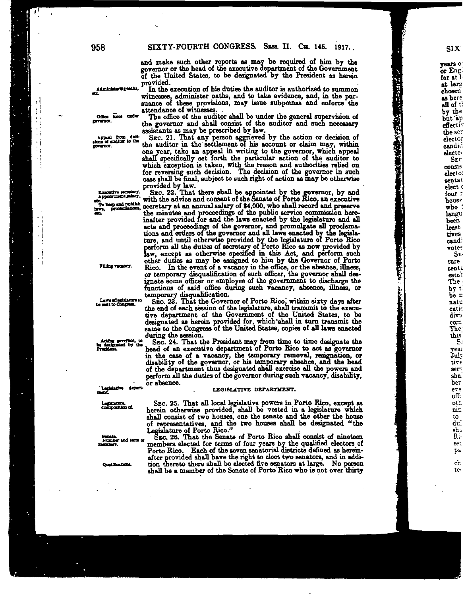and make such other reports as may be required of him by the governor or the head of the executive department of the Government of the United States, to be designated by the President as herein provided. In the execution of his duties the auditor is authorized to summon

witnesses, administer oaths, and to take evidence, and, in the pursuance of these provisions, may issue subpœnas and enforce the

The office of the auditor shall be under the general supervision of the governor and shall consist of the auditor and such necessary

shall specifically set forth the particular action of the auditor to

which exception is taken, with the reason and authorities relied on for reversing such decision. The decision of the governor in such

case shall be final, subject to such right of action as may be otherwise

inafter provided for and the laws enacted by the legislature and all

acts and proceedings of the governor, and promulgate all proclama-

tions and orders of the governor and all laws enacted by the legisla-

ture, and until otherwise provided by the legislature of Porto Rico<br>perform all the duties of secretary of Porto Rico as now provided by<br>law, except as otherwise specified in this Act, and perform such

other duties as may be assigned to him by the Governor of Porto

Rico. In the event of a vacancy in the office, or the absence, illness,

or temporary disqualification of such officer, the governor shall des-

ignate some officer or employee of the government to discharge the

functions of said office during such vacancy, absence, illness, or

temporary disqualification.<br>SEC. 23. That the Governor of Porto Rico, within sixty days after<br>the end of each session of the legislature, ahall transmit to the execu-

tive department of the Government of the United States, to be

designated as herein provided for, which shall in turn transmit the

same to the Congress of the United States, copies of all laws enacted

SEC. 24. That the President may from time to time designate the

Administering caths,

**form** Offic .......

attendance of witnesses.

provided by law.

during the session.

or absence.

assistants as may be prescribed by law. Appeal from deci-<br>ans of anditor to the SEC. 21. That any person aggrieved by the action or decision of the auditor in the settlement of his account or claim may, within one year, take an appeal in writing to the governor, which appeal

SEC. 22. That there shall be appointed by the governor, by and<br>with the advice and consent of the Senate of Porto Rico, an executive Exacutive serviny.<br>Appointment,minty To keep and publish secretary at an annual salary of \$4,000, who shall record and preserve the minutes and proceedings of the public service commission here-

Filing vacancy.

aws of legislature to<br>ant to Congress.

head of an executive department of Porto Rico to act as governor in the case of a vacancy, the temporary removal, resignation, or

datu

# perform all the duties of the governor during such vacancy, disability, LEGISLATIVE DEPARTMENT.

disability of the governor, or his temporary absence, and the head

of the department thus designated shall exercise all the powers and

SEC. 25. That all local legislative powers in Porto Rico, except as herein otherwise provided, shall be vested in a legislature which shall consist of two houses, one the senate and the other the house of representatives, and the two houses shall be designated "the Legislature of Porto Rico."

SEC. 26. That the Senate of Porto Rico shall consist of nineteen members elected for terms of four years by the qualified electors of Porto Rico. Each of the seven senatorial districts defined as hereinafter provided shall have the right to elect two senators, and in addition thereto there shall be elected five senators at large. No person shall be a member of the Senate of Porto Rico who is not over thirty

years of or Eng for at 1 at larg chosen as here  $\overline{\mathbf{u}}$  of t **by the** hut ar effectiv the set elector candic electer **SEC** consis electo senta! elect (  $f_{\text{OIII}}$  : house who langu been least tives cand: votes **SE** ture sent estai The . byt be n natu catio divi com  $\mathbf{The}$ this  $\mathbf{s}$ yea: յոր tive  $ser$ sha: ber  $e^+$ off. oth nin to dı: l sh.  $R_{\rm i}$ 

se:

Pa

ch.

te

**SIX**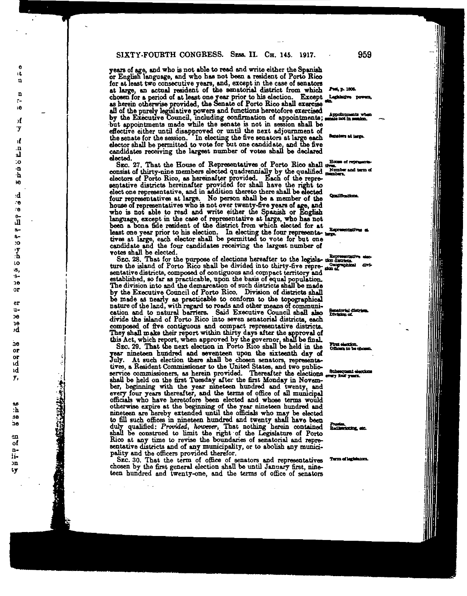ιt

D

n

r. ıé

ы

Т

иf  $\mathbf{r}$ 

<u>al</u>

÷о

٠D

۰h

ю

٠d

. e

że

JJ

 $\mathbf{a}$ 

a. X,  $\frac{1}{2}$ 

ίO

 $\mathbf{s}$ 

-9-

he

 $O<sub>I</sub>$ 

er

ū.

 $\mathcal{P}$ 

<sub>16</sub>

∍d

ne

 $\overline{\textbf{or}}$ 

 $\mathbf{or}$ 

٦d

ıd

у,

∴h

38

 $\overline{\mathbf{a}}$ en,

٥f

n. ti-

מכ

ty

years of age, and who is not able to read and write either the Spanish or English language, and who has not been a resident of Porto Rico for at least two consecutive years, and, except in the case of senators at large, an actual resident of the senatorial district from which chosen for a period of at least one year prior to his election. Except as herein otherwise provided, the Senate of Porto Rico shall exercise all of the purely legislative powers and functions heretofore exercised by the Executive Council, including confirmation of appointments; but appointments made while the senate is not in session shall be effective either until disapproved or until the next adjournment of the senate for the session. In electing the five senators at large each elector shall be permitted to vote for but one candidate, and the five candidates receiving the largest number of votes shall be declared elected

SEC. 27. That the House of Representatives of Porto Rico shall as consist of thirty-nine members elected quadrennially by the qualified electors of Porto Rico, as hereinafter provided. Each of the representative districts hereinafter provided for shall have the right to elect one representative, and in addition thereto there shall be elected four representatives at large. No person shall be a member of the house of representatives who is not over twenty-five years of age, and who is not able to read and write either the Spanish or English language, except in the case of representative at large, who has not been a bona fide resident of the district from which elected for at least one year prior to his election. In electing the four representavotes shall be elected.

SEC. 28. That for the purpose of elections hereafter to the legisla- no detries. ture the island of Porto Rico shall be divided into thirty-five representative districts, composed of contiguous and compact territory and established, so far as practicable, upon the basis of equal population. The division into and the demarcation of such districts shall be made by the Executive Council of Porto Rico. Division of districts shall be made as nearly as practicable to conform to the topographical nature of the land, with regard to roads and other means of communication and to natural barriers. Said Executive Council shall also divide the island of Porto Rico into seven senatorial districts, each composed of five contiguous and compact representative districts. They shall make their report within thirty days after the approval of this Act, which report, when approved by the governor, shall be final.

SEC. 29. That the next election in Porto Rico shall be held in the year nineteen hundred and seventeen upon the sixteenth day of At such election there shall be chosen senators, representa- $Jub.$ tives, a Resident Commissioner to the United States, and two publicservice commissioners, as herein provided. Thereafter the elections shall be held on the first Tuesday after the first Monday in November, beginning with the year nineteen hundred and twenty, and every four years thereafter, and the terms of office of all municipal officials who have heretofore been elected and whose terms would otherwise expire at the beginning of the year nineteen hundred and nineteen are hereby extended until the officials who may be elected to fill such offices in nineteen hundred and twenty shall have been duly qualified: Provided, however, That nothing herein contained shall be construed to limit the right of the Legislature of Porto Rico at any time to revise the boundaries of senatorial and representative districts and of any municipality, or to abolish any municipality and the officers provided therefor.

SEC. 30. That the term of office of senators and representatives chosen by the first general election shall be until January first, nineteen hundred and twenty-one, and the terms of office of senators

**Coll. D. 1808** 

Αm ans ma

**Bunatura at large** 

耳面 Numb

**Constituents** 

**Turn of lasts**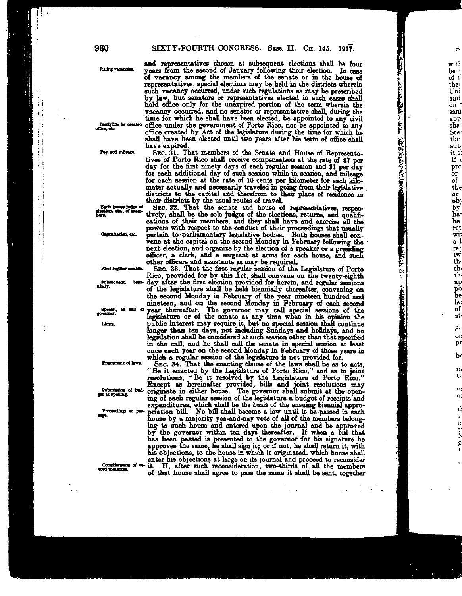Filing vacancies.

Tooligible for created.<br>office, etc.

Pay and mileage.

ach house judge of<br>Lion, etc., of mem-

Organization, etc.

First regular

Rub. nally.

call of **Boacle1** aż

Limit

Enactment of laws.

tion of bodgit at opening.

Proposition to

Consideration of ve-

and representatives chosen at subsequent elections shall be four years from the second of January following their election. In case of vacancy among the members of the senate or in the house of representatives, special elections may be held in the districts wherein such vacancy occurred, under such regulations as may be prescribed by law, but senators or representatives elected in such cases shall hold office only for the unexpired portion of the term wherein the vacancy occurred, and no senator or representative shall, during the time for which he shall have been elected, be appointed to any civil office under the government of Porto Rico, nor be appointed to any office created by Act of the legislature during the time for which he shall have been elected until two years after his term of office shall have expired.

SEC. 31. That members of the Senate and House of Representatives of Porto Rico shall receive compensation at the rate of \$7 per day for the first ninety days of each regular session and \$1 per day for each additional day of such session while in session, and mileage for each session at the rate of 10 cents per kilometer for each kilometer actually and necessarily traveled in going from their legislative districts to the capital and therefrom to their place of residence in

their districts by the usual routes of travel.<br>SEC. 32. That the senate and house of representatives, respectively, shall be the sole judges of the elections, returns, and qualifications of their members, and they shall have and exercise all the powers with respect to the conduct of their proceedings that usually pertain to parliamentary legislative bodies. Both houses shall convene at the capital on the second Monday in February following the next election, and organize by the election of a speaker or a presiding officer, a clerk, and a sergeant at arms for each house, and such other officers and assistants as may be required.

SEC. 33. That the first regular session of the Legislature of Porto Rico, provided for by this Act, shall convene on the twenty-eighth day after the first election provided for herein, and regular sessions of the legislature shall be held biennially thereafter, convening on the second Monday in February of the year nineteen hundred and misteen, and on the second Monday in February of each second<br>year thereafter. The governor may call special sessions of the<br>legislature or of the senate at any time when in his opinion the public interest may require it, but no special session shall continue longer than ten days, not including Sundays and holidays, and no legislation shall be considered at such session other than that specified in the call, and he shall call the senate in special session at least once each year on the second Monday in February of those vears in which a regular session of the legislature is not provided for.<br>SEC. 34. That the enacting clause of the laws shall be as to acts,

"Be it enacted by the Legislature of Porto Rico," and as to joint resolutions, "Be it resolved by the Legislature of Porto Rico."<br>Except as hereinafter provided, bills and joint resolutions may originate in either house. T ing of each regular session of the legislature a budget of receipts and expenditures, which shall be the basis of the ensuing biennial appropriation bill. No bill shall become a law until it be passed in each house by a majority yea-and-nay vote of all of the members belonging to such house and entered upon the journal and be approved by the governor within ten days thereafter. If when a bill that has been passed is presented to the governor for his signature he approves the same, he shall sign it; or if not, he shall return it, with his objections, to the house in which it originated, which house shall enter his objections at large on its journal and proceed to reconsider it. If, after such reconsideration, two-thirds of all the members of that house shall agree to pass the same it shall be sent, together

-i

 $\ddot{\cdot}$ 

ł

 $\mathbf{i}$ 

 $\mathbf{I}$ 

ti

û.

i:

g

医皮质

i<br>I

「発気となることを受ける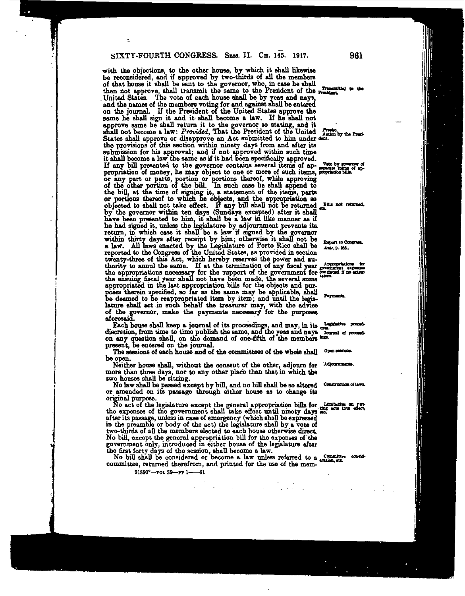with the objections, to the other house, by which it shall likewise be reconsidered, and if approved by two-thirds of all the members of that house it shall be sent to the governor, who, in case he shall then not approve, shall transmit the same to the President of the President. United States. The vote of each house shall be by yeas and nays, and the names of the members voting for and against shall be entered on the journal. If the President of the United States approve the same he shall sign it and it shall become a law. If he shall not approve same he shall return it to the governor so stating, and it shall not become a law: Provided, That the President of the United States shall approve or disapprove an Act submitted to him under deat the provisions of this section within ninety days from and after its submission for his approval; and if not approved within such time it shall become a law the same as if it had been specifically approved. If any bill presented to the governor contains several items of appropriation of money, he may object to one or more of such items, we or any part or parts, portion or portions thereof, while approving of the other portion the bill, at the time of signing it, a statement of the items, parts<br>or portions thereof to which he objects, and the appropriation so<br>objected to shall not take effect. If any bill shall not the returned. by the governor within ten days (Sundays excepted) after it shall have been presented to him, it shall be a law in like manner as if he had signed it, unless the legislature by adjournment prevents its return, in which case it shall be a law if signed by the governor within thirty days after receipt by him; otherwise it shall not be a law. All laws enacted by the Legislature of Porto Rico shall be reported to the Congress of the United States, as provided in section twenty-three of this Act, which hereby reserves the power and au-<br>thority to annul the same. If at the termination of any fiscal year the appropriations necessary for the support of the government for comment the ensuing fiscal year shall not have been made, the several sums appropriated in the last appropriation bills for the objects and purposes therein specified, so far as the same may be applicable, shall be deemed to be reappropriated item by item; and until the legislature shall act in such behalf the treasurer may, with the advice of the governor, make the payments necessary for the purposes aforesaid.

Each house shall keep a journal of its proceedings, and may, in its at discretion, from time to time publish the same, and the yeas and nays on any question shall, on the demand of one-fifth of the members was present, be entered on the journal.

The sessions of each house and of the committees of the whole shall be open.

Neither house shall, without the consent of the other, adjourn for Adjournements. more than three days, nor to any other place than that in which the two houses shall be sitting.

No law shall be passed except by bill, and no bill shall be so altered construction of laws. or amended on its passage through either house as to change its original purpose.

No act of the legislature except the general appropriation bills for Limitation on put the expenses of the government shall take effect until ninety days set into steet. after its passage, unless in case of emergency (which shall be expressed in the preamble or body of the act) the legislature shall by a vote of two-thirds of all the members elected to each house otherwise direct. No bill, except the general appropriation bill for the expenses of the government only, introduced in either house of the legislature after

the first forty days of the session, shall become a law.<br>No bill shall be considered or become a law unless referred to a committee considered. committee, returned therefrom, and printed for the use of the mem-

 $\mathcal{A}=\mathcal{A}$  , where  $\mathcal{A}=\mathcal{A}$ 

91890°-vol 39-FT 1-61

Action by the Presi-

Veto by governor of oprintica billa

Report to Congre Ant. p. 955.

.<br>Appropriations for<br>coveragent expenses ntinued if no action

Legislative proced-Journal of pro

Open semiens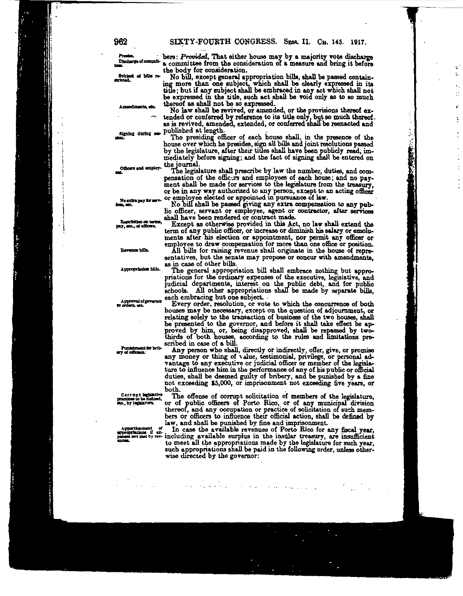a committee from the consideration of a measure and bring it before

Discharge of commit-

Subject of bills re-<br>stricted.

the body for consideration. No bill, except general appropriation bills, shall be passed containing more than one subject, which shall be clearly expressed in its title; but if any subject shall be embraced in any act which shall not

thereof as shall not be so expressed. No law shall be revived, or amended, or the provisions thereof extended or conferred by reference to its title only, but so much thereof. as is revived, amended, extended, or conferred shall be reenacted and stening during see. Published at length.

be expressed in the title, such act shall be void only as to so much

The presiding officer of each house shall, in the presence of the house over which he presides, sign all bills and joint resolutions passed by the legislature, after their titles shall have been publicly read, immediately before signing; and the fact of signing shall be entered on the journal

The legislature shall prescribe by law the number, duties, and compensation of the officers and employees of each house; and no payment shall be made for services to the legislature from the treasury, or be in any way authorized to any person, except to an acting officer

or employee elected or appointed in pursuance of law.<br>No bill shall be passed giving any extra compensation to any public officer, servant or employee, agent or contractor, after services shall have been rendered or contract made.

Except as otherwise provided in this Act, no law shall extend the term of any public officer, or increase or diminish his salary or emoluments after his election or appointment, nor permit any officer or employee to draw compensation for more than one office or position.

All bills for raising revenue shall originate in the house of representatives, but the senate may propose or concur with amendments. as in case of other bills.

The general appropriation bill shall embrace nothing but appropriations for the ordinary expenses of the executive, legislative, and judicial departments, interest on the public debt, and for public schools. All other appropriations shall be made by separate bills, each embracing but one subject.

Every order, resolution, or vote to which the concurrence of both houses may be necessary, except on the question of adjournment, or relating solely to the transaction of business of the two houses, shall be presented to the governor, and before it shall take effect be approved by him, or, being disapproved, shall be repassed by twothirds of both houses, according to the rules and limitations pre-

Any person who shall, directly or indirectly, offer, give, or promise any money or thing of value, testimonial, privilege, or personal advantage to any executive or judicial officer or member of the legislature to influence him in the performance of any of his public or official duties, shall be deemed guilty of bribery, and be punished by a fine not exceeding \$5,000, or imprisonment not exceeding five years, or both.

The offense of corrupt solicitation of members of the legislature, or of public officers of Porto Rico, or of any municipal division thereof, and any occupation or practice of solicitation of such members or officers to influence their official action, shall be defined by law, and shall be punished by fine and imprisonment.

In case the available revenues of Porto Rico for any fiscal year, nv- including available surplus in the insular treasury, are insufficient to meet all the appropriations made by the legislature for such year. such appropriations shall be paid in the following order, unless otherwise directed by the governor:

No extra pay for serv L ann.

Officers and employ-

Restriction on terms,<br>pay, etc., of officers.

**Revenue bills** 

Appropriation bills.

Approval of gove

mi itr brio of officials

Corrupt legislativ practicus to be defined.<br>etc., by legislature.

Apportionment of<br>propriations if ax-<br>muses not mat by revof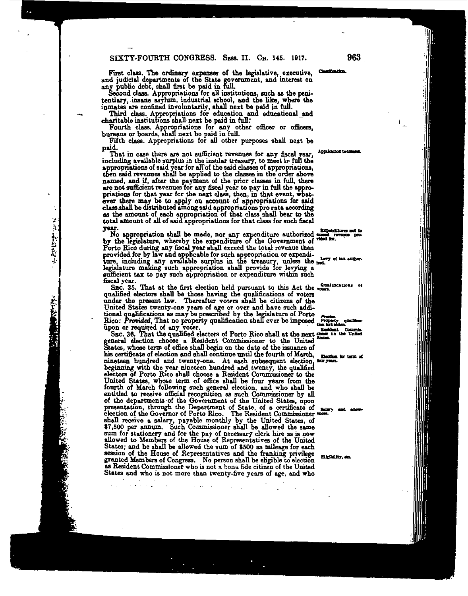First class. The ordinary expenses of the legislative, executive, and judicial departments of the State government, and interest on any public debt, shall first be paid in full. Second class. Appropriations for all institu

tentiary, insane asylum, industrial school, and the like, where the inmates are confined involuntarily, shall next be paid in full.

Third class. Appropriations for education and educational and charitable institutions shall next be paid in full.

Fourth class Appropriations for any other officer or officers, bureaus or boards, shall next be paid in full.

Fifth class. Appropriations for all other purposes shall next be paid.

Application to d That in case there are not sufficient revenues for any fiscal year, including available surplus in the insular treasury, to meet in full the appropriations of said year for all of the said classes of appropriations, then said revenues shall be applied to the classes in the order above named, and if, after the payment of the prior classes in full, there are not sufficient revenues for any fiscal year to pay in full the appropristions for that year for the next class, then, in that event, whatever there may be to apply on account of appropriations for said class shall be distributed among said appropriations pro rata according as the amount of each appropriation of that class shall bear to the total amount of all of said appropriations for that class for such fiscal уеаг.

No appropriation shall be made, nor any expenditure authorized a by the legislature, whereby the expenditure of the Government of visit is Porto Rico during any fiscal year shall exceed the total revenue then provided for by law and applicable for such appropriation or expenditure, including any available surplus in the treasury, unless the m legislature making such appropriation shall provide for levying a sufficient tax to pay such appropriation or expenditure within such fiscal year.

 $1 - 2 + 12 - 4$ 

○ このたい の後に の後に い

SEC. 35. That at the first election held pursuant to this Act the count of qualified electors shall be those having the qualifications of voters under the present law. Thereafter voters shall be citizens of the United States twenty-one years of age or over and have such additional qualifications as may be prescribed by the legislature of Porto Rico: Provided, That no property qualification shall ever be imposed

upon or required of any voter.<br>SEC. 36. That the qualified electors of Porto Rico shall at the next theme. general election choose a Resident Commissioner to the United States, whose term of office shall begin on the date of the issuance of his certificate of election and shall continue until the fourth of March, nineteen hundred and twenty-one. At each subsequent election, beginning with the year nineteen hundred and twenty, the qualified electors of Porto Rico shall choose a Resident Commissioner to the United States, whose term of office shall be four years from the fourth of March following such general election, and who shall be entitled to receive official recognition as such Commissioner by all of the departments of the Government of the United States, upon presentation, through the Department of State, of a certificate of election of the Governor of Porto Rico. The Resident Commissioner shall receive a salary, payable monthly by the United States, of \$7,500 per annum. Such Commissioner shall be allowed the same sum for stationery and for the pay of necessary clerk hire as is now allowed to Members of the House of Representatives of the United States; and he shall be allowed the sum of \$500 as mileage for each session of the House of Representatives and the franking privilege granted Members of Congress. No person shall be eligible to election as Resident Commissioner who is not a bona fide citizen of the United States and who is not more than twenty-five years of age, and who

 $F$  to the Unit

Elisthnity, ex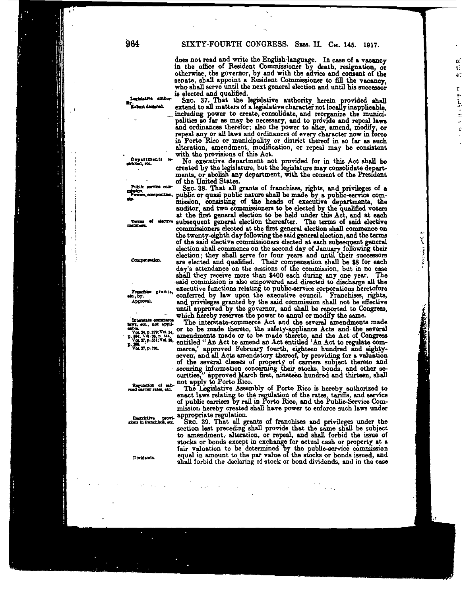does not read and write the English language. In case of a vacancy in the office of Resident Commissioner by death, resignation, or otherwise, the governor, by and with the advice and consent of the senate, shall appoint a Resident Commissioner to fill the vacancy, who shall serve until the next general election and until his successor is elected and qualified.

 $\Omega$ 

۫

ą

SEC. 37. That the legislative authority herein provided shall extend to all matters of a legislative character not locally inapplicable, including power to create, consolidate, and reorganize the munici-<br>palities so far as may be necessary, and to provide and repeal laws and ordinances therefor; also the power to alter, amend, modify, or repeal any or all laws and ordinances of every character now in force in Porto Rico or municipality or district thereof in so far as such alteration, amendment, modification, or repeal may be consistent with the provisions of this Act.

No executive department not provided for in this Act shall be created by the legislature, but the legislature may consolidate departments, or abolish any department, with the consent of the President of the United States.

extrice com- SEC. 38. That all grants of franchises, rights, and privileges of a composition, public or quasi public nature shall be made by a public-service commission, consisting of the heads of executive departments, the auditor, and two commissioners to be elected by the qualified voters at the first general election to be held under this Act, and at each subsequent general election thereafter. The terms of said elective commissioners elected at the first general election shall commence on the twenty-eighth day following the said general election, and the terms of the said elective commissioners elected at each subsequent general election shall commence on the second day of January following their election; they shall serve for four years and until their successors are elected and qualified. Their compensation shall be \$8 for each day's attendance on the sessions of the commission, but in no case shall they receive more than \$400 each during any one year. -The said commission is also empowered and directed to discharge all the executive functions relating to public-service corporations heretofore conferred by law upon the executive council. Franchises, rights, and privileges granted by the said commission shall not be effective until approved by the governor, and shall be reported to Congress, which hereby reserves the power to annul or modify the same.

The interstate-commerce Act and the several amendments made or to be made thereto, the safety-appliance Acts and the several amendments made or to be made thereto, and the Act of Congress<br>entitled "An Act to amend an Act entitled 'An Act to regulate commerce, approved February fourth, eighteen hundred and eightyseven, and all Acts amendatory thereof, by providing for a valuation of the several classes of property of carriers subject thereto and securing information concerning their stocks, bonds, and other securities," approved March first, nineteen hundred and thirteen, shall not apply to Porto Rico.

The Legislative Assembly of Porto Rico is hereby authorized to enact laws relating to the regulation of the rates, tariffs, and service of public carriers by rail in Porto Rico, and the Public-Service Commission hereby created shall have power to enforce such laws under appropriate regulation.

SEC. 39. That all grants of franchises and privileges under the section last preceding shall provide that the same shall be subject to amendment, alteration, or repeal, and shall forbid the issue of stocks or bonds except in exchange for actual cash or property at a fair valuation to be determined by the public-service commission equal in amount to the par value of the stocks or bonds issued, and shall forbid the declaring of stock or bond dividends, and in the case

**Legislative author** ity.<br>Extent declared.

**Departments** 

Public service con

Compensation.

Franchise grants, a., by. Approval.

Interstate commerce<br>
have, etc., not appli-<br>
cable.<br>
Vol. 34, p. 379; Vol. 34,<br>
n Eld. Vol. 35, p. 344 84, Yol.36, p. 34.<br>Vol. 27, p. 531, Vol. 36, p. 205.<br>Vol. 37, p. 701.

Regulation of rail-<br>ad carrier rates, etc.

**Recrictive** provisions in Ira

**Dividends**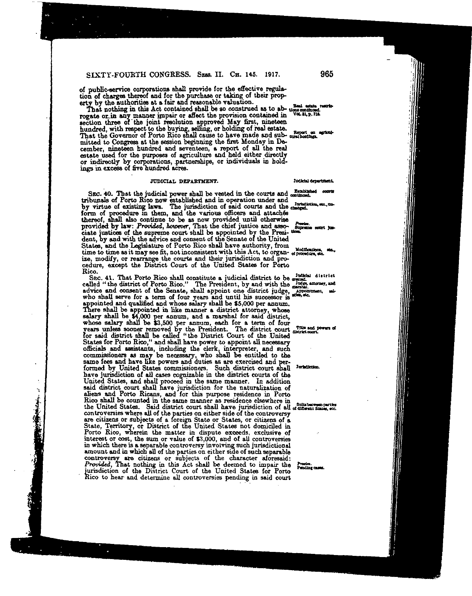### SIXTY-FOURTH CONGRESS. Szss. II. CH. 145. 1917.

of public-service corporations shall provide for the effective regulation of charges thereof and for the purchase or taking of their property by the authorities at a fair and reasonable valuation.

That nothing in this Act contained shall be so construed as to ab- ups contained.<br>That nothing in this Act contained shall be so construed as to ab- ups contained. rogate or in any manner impair or affect the provision contained in section three of the joint resolution approved May first, nineteen hundred, with respect to the buying, selling, or holding of real estate. Report on agram) That the Governor of Porto Rico shall cause to have made and submitted to Congress at the session beginning the first Monday in December, nineteen hundred and seventeen, a report of all the real estate used for the purposes of agriculture and held either directly or indirectly by corporations, partnerships, or individuals in holdings in excess of five hundred acres.

## JUDICIAL DEPARTMENT.

SEC. 40. That the judicial power shall be vested in the courts and an tribunals of Porto Rico now established and in operation under and by virtue of existing laws. The jurisdiction of said courts and the changed. form of procedure in them, and the various officers and attaches thereof, shall also continue to be as now provided until otherwise provided by law: Provided, however, That the chief justice and associate justices of the supreme court shall be appointed by the President, by and with the advice and consent of the Senate of the United States, and the Legislature of Porto Rico shall have authority, from time to time as it may see fit, not inconsistent with this Act, to organ- of procedure, etc. ize, modify, or rearrange the courts and their jurisdiction and procedure, except the District Court of the United States for Porto Rico.

SEC. 41. That Porto Rico shall constitute a judicial district to be greated.<br>called "the district of Porto Rico." The President, by and with the district advice and consent of the Senate, shall appoint one district judge, Appenne who shall serve for a term of four years and until his successor is appointed and qualified and whose salary shall be \$5,000 per annum. There shall be appointed in like manner a district attorney, whose salary shall be \$4,000 per annum, and a marshal for said district,<br>whose salary shall be \$4,000 per annum, and a marshal for said district,<br>whose salary shall be \$3,500 per annum, each for a term of four<br>years unless soone officials and assistants, including the clerk, interpreter, and such commissioners as may be necessary, who shall be entitled to the same fees and have like powers and duties as are exercised and performed by United States commissioners. Such district court shall have jurisdiction of all cases cognizable in the district courts of the United States, and shall proceed in the same manner. In addition said district court shall have jurisdiction for the naturalization of aliens and Porto Ricans, and for this purpose residence in Porto Rico shall be counted in the same manner as residence elsewhere in the United States. Said district court shall have jurisdiction of all of different so controversies where all of the parties on either side of the controversy are citizens or subjects of a foreign State or States, or citizens of a State, Territory, or District of the United States not domiciled in Porto Rico, wherein the matter in dispute exceeds, exclusive of interest or cost, the sum or value of \$3,000, and of all controversies in which there is a separable controversy involving such jurisdictional amount and in which all of the parties on either side of such separable controversy are citizens or subjects of the character aforesaid: Provided, That nothing in this Act shall be deemed to impair the jurisdiction of the District Court of the United States for Porto Rico to hear and determine all controversies pending in said court

٠,

#### **Judicial department**

Established<br>mi*inn*ed

**Jurindiction** 

Modifications

Judicial district

Title and now

Turk tierten.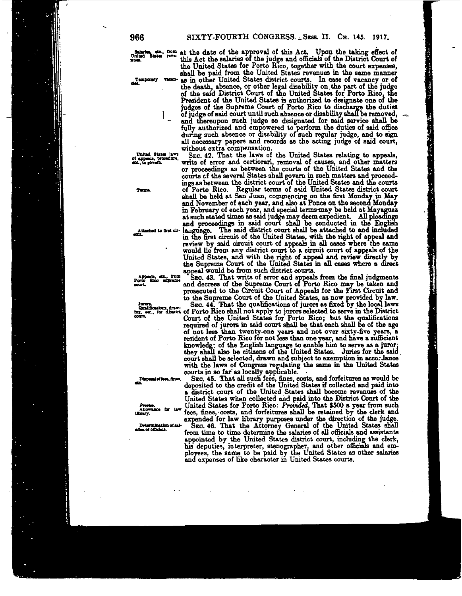t, etc., from at the date of the approval of this Act. Upon the taking effect of this Act the salaries of the judge and officials of the District Court of the United States for Porto Rico, together with the court expenses, shall be paid from the United States revenues in the same manner as in other United States district courts. In case of vacancy or of the death, absence, or other legal disability on the part of the judge of the said District Court of the United States for Porto Rico, the President of the United States is authorized to designate one of the judges of the Supreme Court of Porto Rico to discharge the duties of judge of said court until such absence or disability shall be removed. and thereupon such judge so designated for said service shall be fully authorized and empowered to perform the duties of said office<br>during such absence or disability of such regular judge, and to sign all necessary papers and records as the acting judge of said court. without extra compensation. SEC. 42. That the laws of the United States relating to appeals,

writs of error and certiorari, removal of causes, and other matters

United States laws<br>! appeals, procedure,<br>in., to govern.

to first cir-

etermination of sal-<br>a of officials. Dм

or proceedings as between the courts of the United States and the courts of the several States shall govern in such matters and proceedings as between the district court of the United States and the courts of Porto Rico. Regular terms of said United States district court shall be held at San Juan, commencing on the first Monday in May and November of each year, and also at Ponce on the second Monday in February of each year, and special terms may be held at Mayaguez at such stated times as said judge may deem expedient. All pleadings and proceedings in said court shall be conducted in the English language. The said district court shall be attached to and included in the first circuit of the United States, with the right of appeal and review by said circuit court of appeals in all cases where the same would lie from any district court to a circuit court of appeals of the United States, and with the right of appeal and review directly by the Supreme Court of the United States in all cases where a direct appeal would be from such district courts.

SEC. 43. That writs of error and appeals from the final judgments and decrees of the Supreme Court of Porto Rico may be taken and prosecuted to the Circuit Court of Appeals for the First Circuit and<br>to the Supreme Court of the United States, as now provided by law.<br>Sec. 44. That the qualifications of jurors as fixed by the local laws

of Porto Rico shall not apply to jurors selected to serve in the District Court of the United States for Porto Rico; but the qualifications required of jurors in said court shall be that each shall be of the age of not less than twenty-one years and not over sixty-five years, a or not less than one year, and have a sufficient<br>knowledg: of the English language to enable him to serve as a juror;<br>they shall also be citizens of the United States. Juries for the said court shall be selected, drawn and subject to exemption in acco. Jance with the laws of Congress regulating the same in the United States courts in so far as locally applicable.

SEC. 45. That all such fees, fines, costs, and forfeitures as would be deposited to the credit of the United States if collected and paid into district court of the United States shall become revenues of the United States when collected and paid into the District Court of the United States for Porto Rico: Provided, That \$500 a year from such fees, fines, costs, and forfeitures shall be retained by the clerk and expended for law library purposes under the direction of the judge.

SEC. 46. That the Attorney General of the United States shall from time to time determine the salaries of all officials and assistants appointed by the United States district court, including the clerk, his deputies, interpreter, stenographer, and other officials and employees, the same to be paid by the United States as other salaries and expenses of like character in United States courts.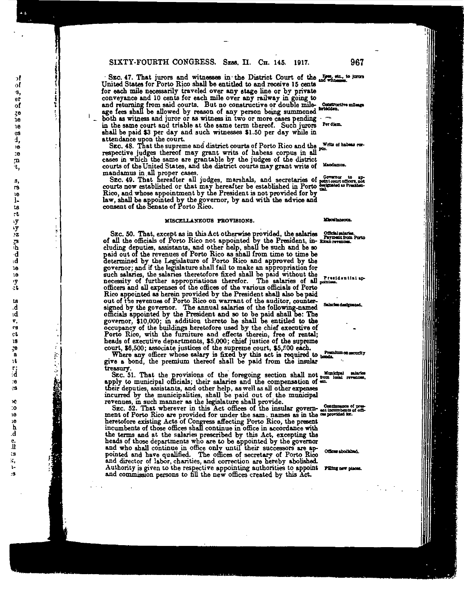h1

οI

٠g

 $_{\rm er}$ of

ζe

ำค

ιe

 $\alpha$ đ,

эe

e

 $\mathbf{D}$ 

۰t,

 $\mathbf{3}$ rs

ιe

 $\mathbf{I}$ ts гt

۰y Ŷ

 $\mathbf{z}$ 

 $\frac{1}{b}$ 

٠d

 $\mathbf{d}$ 

 $16$ 

18 1y €t

ts .d

ıd  $\pmb{\nabla}$ 

 $\sigma_0$ ct

19

 $, 0$ 

Ī. ٦t

٠d

٠A

 $\cdot$ 9 X.

٠o

١e 16

h b.

А.

ü

ះទ ×,

 $\mathbf{I}$ 

ĿS

SEC. 47. That jurors and witnesses in the District Court of the norwith United States for Porto Rico shall be entitled to and receive 15 cents for each mile necessarily traveled over any stage line or by private conveyance and 10 cents for each mile over any railway in going to and returning from said courts. But no constructive or double mileage fees shall be allowed by reason of any person being summoned both as witness and juror or as witness in two or more cases pending in the same court and triable at the same term thereof. Such jurors

shall be paid \$3 per day and such witnesses \$1.50 per day while in attendance upon the court.

SEC. 48. That the supreme and district courts of Porto Rico and the  $\frac{W}{100}$  of habe respective judges thereof may grant writs of habeas corpus in all cases in which the same are grantable by the judges of the district **Mandamma** courts of the United States, and the district courts may grant write of mandamus in all proper cases.

SEC. 49. That hereafter all judges, marshals, and secretaries of pointcourt more, not courts now established or that may hereafter be established in Porto distinction are courts now established or that may hereafter be est Rico, and whose appointment by the President is not provided for by law, shall be appointed by the governor, by and with the advice and consent of the Senate of Porto Rico.

### MISCELLANEOUS PROVISIONS.

SEC. 50. That, except as in this Act otherwise provided, the salaries of all the officials of Porto Rico not appointed by the President, in- Riversen cluding deputies, assistants, and other help, shall be such and be so paid out of the revenues of Porto Rico as shall from time to time be determined by the Legislature of Porto Rico and approved by the governor; and if the legislature shall fail to make an appropriation for such salaries, the salaries theretofore fixed shall be paid without the necessity of further appropriations therefor. The salaries of all points. officers and all expenses of the offices of the various officials of Porto Rico appointed as herein provided by the President shall also be paid out of the revenues of Porto Rico on warrant of the auditor, counter-<br>signed by the governor. The annual salaries of the following-named officials appointed by the President and so to be paid shall be: The governor, \$10,000; in addition thereto he shall be entitled to the occupancy of the buildings heretofore used by the chief executive of Porto Rico, with the furniture and effects therein, free of rental; heads of executive departments, \$5,000; chief justice of the supreme court, \$6,500; associate justices of the supreme court, \$5,500 each.

Where any officer whose salary is fixed by this act is required to be give a bond, the premium thereof shall be paid from the insular treasury

SEC. 51. That the provisions of the foregoing section shall not som local reven apply to municipal officials; their salaries and the compensation of extheir deputies, assistants, and other help, as well as all other expenses incurred by the municipalities, shall be paid out of the municipal revenues, in such manner as the legislature shall provide.

SEC. 52. That wherever in this Act offices of the insular government of Porto Rico are provided for under the sam. names as in the control in heretofore existing Acts of Congress affecting Porto Rico, the present incumbents of those offices shall continue in office in accordance with the terms and at the salaries prescribed by this Act, excepting the heads of those departments who are to be appointed by the governor and who shall continue in office only until their successors are appointed and have qualified. The offices of secretary of Porto Rico and director of labor, charities, and correction are hereby abolished. Authority is given to the respective appointing authorities to appoint and commission persons to fill the new offices created by this Act.

Miscallaneons.

Official sal

Premium on security

salarice

Filling new pla

to large

Per diem